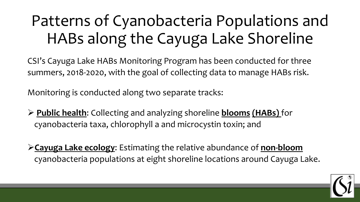# Patterns of Cyanobacteria Populations and HABs along the Cayuga Lake Shoreline

CSI's Cayuga Lake HABs Monitoring Program has been conducted for three summers, 2018-2020, with the goal of collecting data to manage HABs risk.

Monitoring is conducted along two separate tracks:

- ➢ **Public health**: Collecting and analyzing shoreline **blooms (HABs)** for cyanobacteria taxa, chlorophyll a and microcystin toxin; and
- ➢**Cayuga Lake ecology**: Estimating the relative abundance of **non-bloom** cyanobacteria populations at eight shoreline locations around Cayuga Lake.

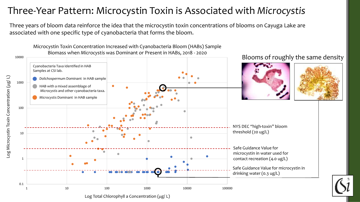#### Three-Year Pattern: Microcystin Toxin is Associated with *Microcystis*

Three years of bloom data reinforce the idea that the microcystin toxin concentrations of blooms on Cayuga Lake are associated with one specific type of cyanobacteria that forms the bloom.

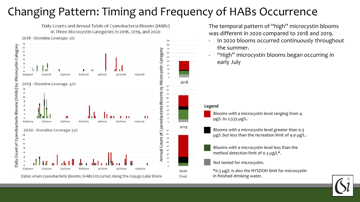# Changing Pattern: Timing and Frequency of HABs Occurrence

Daily Counts and Annual Totals of Cyanobacteria Blooms (HABs) in Three Microcystin Categories in 2018, 2019, and 2020 2018 - Shoreline Coverage: 31% 90  $8<sub>0</sub>$ Daily Count of Cyanobacteria Blooms (HABs) by Microcystin Category  $12$ Category  $70$ Blooms by Microcystin  $\overline{2}a$ 6/29/2018  $9/1/2018$  $9/17/2018$  $10/3/2018$  $7/15/201$  $7/31/201$ 2018 2019 - Shoreline Coverage: 47% 12  $10$ 60 50 Cyanobacteria 20  $\Omega$ 6/29/2019  $7/15/2019$  $7/31/2019$ 8/16/2019  $9/1/2019$ 9/17/2019 10/3/2019 2019 2020 - Shoreline Coverage: 53% đ Count<sup></sup> 50 mual 6/29/2020 8/16/2020  $9/1/2020$  $9/17/2020$ 10/3/2020 2020

Dates when Cyanobacteria Blooms (HABs) Occurred Along the Cayuga Lake Shore

The temporal pattern of "high" microcystin blooms was different in 2020 compared to 2018 and 2019.

- In 2020 blooms occurred continuously throughout the summer.
- "High" microcystin blooms began occurring in early July

#### **Legend**

Year

Blooms with a microcystin level ranging from 4 µg/L to 2,533 µg/L.

Blooms with a microcystin level greater than 0.3 µg/L but less than the recreation limit of 4.0 µg/L.

Blooms with a microcystin level less than the method detection limit of 0.3 µg/L\*.

Not tested for microcystin.

\*0.3 µg/L is also the NYSDOH limit for microcystin in finished drinking water.

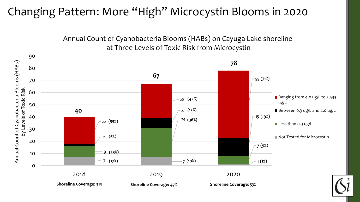## Changing Pattern: More "High" Microcystin Blooms in 2020

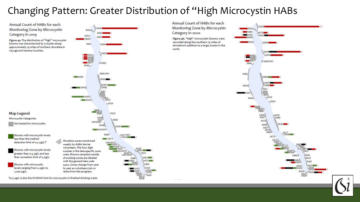#### Changing Pattern: Greater Distribution of "High Microcystin HABs

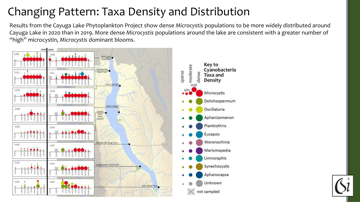# Changing Pattern: Taxa Density and Distribution

Results from the Cayuga Lake Phytoplankton Project show dense *Microcystis* populations to be more widely distributed around Cayuga Lake in 2020 than in 2019. More dense *Microcystis* populations around the lake are consistent with a greater number of "high" microcystin, *Microcystis* dominant blooms.